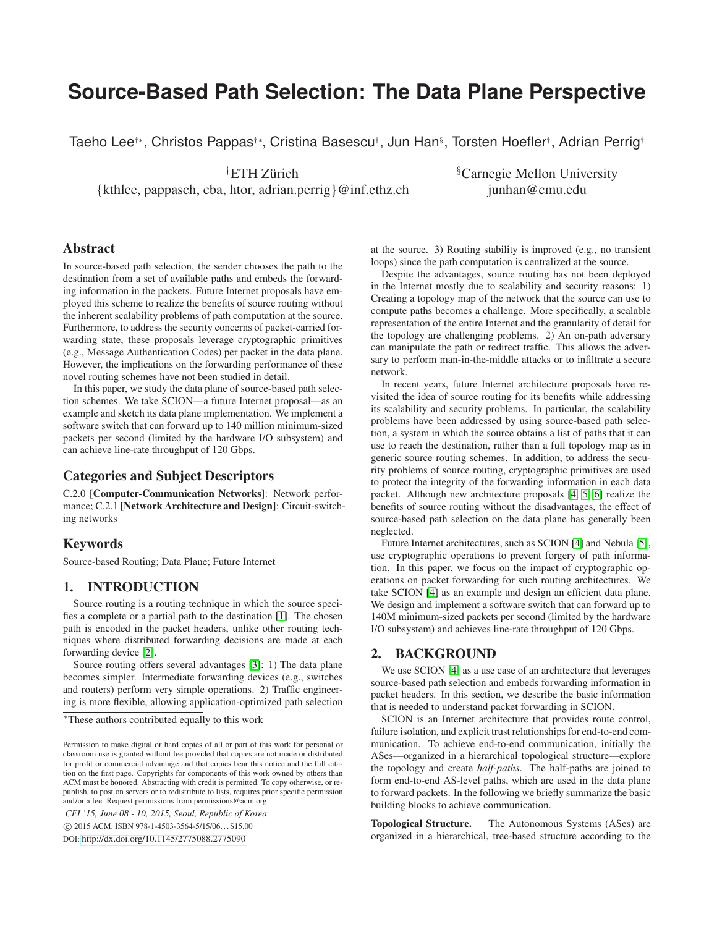# **Source-Based Path Selection: The Data Plane Perspective**

Taeho Lee†\*, Christos Pappas†\*, Cristina Basescu†, Jun Han§, Torsten Hoefler†, Adrian Perrig†

<sup>†</sup>ETH Zürich <sup>§</sup>Carnegie Mellon University {kthlee, pappasch, cba, htor, adrian.perrig}@inf.ethz.ch junhan@cmu.edu

## Abstract

In source-based path selection, the sender chooses the path to the destination from a set of available paths and embeds the forwarding information in the packets. Future Internet proposals have employed this scheme to realize the benefits of source routing without the inherent scalability problems of path computation at the source. Furthermore, to address the security concerns of packet-carried forwarding state, these proposals leverage cryptographic primitives (e.g., Message Authentication Codes) per packet in the data plane. However, the implications on the forwarding performance of these novel routing schemes have not been studied in detail.

In this paper, we study the data plane of source-based path selection schemes. We take SCION—a future Internet proposal—as an example and sketch its data plane implementation. We implement a software switch that can forward up to 140 million minimum-sized packets per second (limited by the hardware I/O subsystem) and can achieve line-rate throughput of 120 Gbps.

## Categories and Subject Descriptors

C.2.0 [Computer-Communication Networks]: Network performance; C.2.1 [Network Architecture and Design]: Circuit-switching networks

#### Keywords

Source-based Routing; Data Plane; Future Internet

## 1. INTRODUCTION

Source routing is a routing technique in which the source specifies a complete or a partial path to the destination [\[1\]](#page-4-0). The chosen path is encoded in the packet headers, unlike other routing techniques where distributed forwarding decisions are made at each forwarding device [\[2\]](#page-4-1).

Source routing offers several advantages [\[3\]](#page-4-2): 1) The data plane becomes simpler. Intermediate forwarding devices (e.g., switches and routers) perform very simple operations. 2) Traffic engineering is more flexible, allowing application-optimized path selection

*CFI '15, June 08 - 10, 2015, Seoul, Republic of Korea* c 2015 ACM. ISBN 978-1-4503-3564-5/15/06. . . \$15.00

DOI: <http://dx.doi.org/10.1145/2775088.2775090>

at the source. 3) Routing stability is improved (e.g., no transient loops) since the path computation is centralized at the source.

Despite the advantages, source routing has not been deployed in the Internet mostly due to scalability and security reasons: 1) Creating a topology map of the network that the source can use to compute paths becomes a challenge. More specifically, a scalable representation of the entire Internet and the granularity of detail for the topology are challenging problems. 2) An on-path adversary can manipulate the path or redirect traffic. This allows the adversary to perform man-in-the-middle attacks or to infiltrate a secure network.

In recent years, future Internet architecture proposals have revisited the idea of source routing for its benefits while addressing its scalability and security problems. In particular, the scalability problems have been addressed by using source-based path selection, a system in which the source obtains a list of paths that it can use to reach the destination, rather than a full topology map as in generic source routing schemes. In addition, to address the security problems of source routing, cryptographic primitives are used to protect the integrity of the forwarding information in each data packet. Although new architecture proposals [\[4,](#page-4-3) [5,](#page-4-4) [6\]](#page-4-5) realize the benefits of source routing without the disadvantages, the effect of source-based path selection on the data plane has generally been neglected.

Future Internet architectures, such as SCION [\[4\]](#page-4-3) and Nebula [\[5\]](#page-4-4), use cryptographic operations to prevent forgery of path information. In this paper, we focus on the impact of cryptographic operations on packet forwarding for such routing architectures. We take SCION [\[4\]](#page-4-3) as an example and design an efficient data plane. We design and implement a software switch that can forward up to 140M minimum-sized packets per second (limited by the hardware I/O subsystem) and achieves line-rate throughput of 120 Gbps.

#### <span id="page-0-0"></span>2. BACKGROUND

We use SCION [\[4\]](#page-4-3) as a use case of an architecture that leverages source-based path selection and embeds forwarding information in packet headers. In this section, we describe the basic information that is needed to understand packet forwarding in SCION.

SCION is an Internet architecture that provides route control, failure isolation, and explicit trust relationships for end-to-end communication. To achieve end-to-end communication, initially the ASes—organized in a hierarchical topological structure—explore the topology and create *half-paths*. The half-paths are joined to form end-to-end AS-level paths, which are used in the data plane to forward packets. In the following we briefly summarize the basic building blocks to achieve communication.

Topological Structure. The Autonomous Systems (ASes) are organized in a hierarchical, tree-based structure according to the

<sup>∗</sup>These authors contributed equally to this work

Permission to make digital or hard copies of all or part of this work for personal or classroom use is granted without fee provided that copies are not made or distributed for profit or commercial advantage and that copies bear this notice and the full citation on the first page. Copyrights for components of this work owned by others than ACM must be honored. Abstracting with credit is permitted. To copy otherwise, or republish, to post on servers or to redistribute to lists, requires prior specific permission and/or a fee. Request permissions from permissions@acm.org.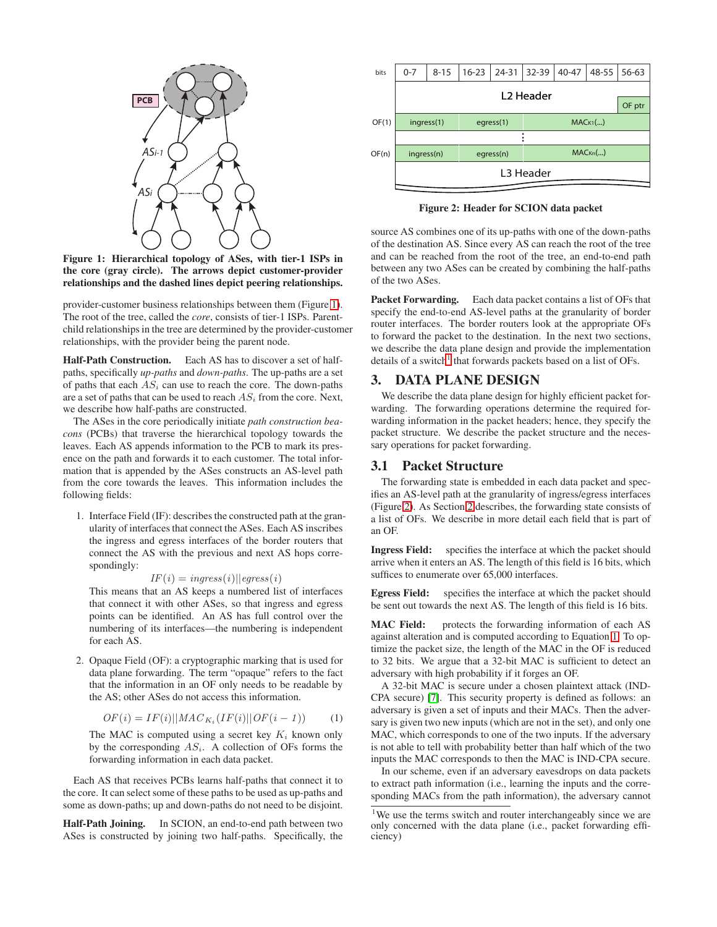

<span id="page-1-0"></span>Figure 1: Hierarchical topology of ASes, with tier-1 ISPs in the core (gray circle). The arrows depict customer-provider relationships and the dashed lines depict peering relationships.

provider-customer business relationships between them (Figure [1\)](#page-1-0). The root of the tree, called the *core*, consists of tier-1 ISPs. Parentchild relationships in the tree are determined by the provider-customer relationships, with the provider being the parent node.

Half-Path Construction. Each AS has to discover a set of halfpaths, specifically *up-paths* and *down-paths*. The up-paths are a set of paths that each  $AS_i$  can use to reach the core. The down-paths are a set of paths that can be used to reach  $AS_i$  from the core. Next, we describe how half-paths are constructed.

The ASes in the core periodically initiate *path construction beacons* (PCBs) that traverse the hierarchical topology towards the leaves. Each AS appends information to the PCB to mark its presence on the path and forwards it to each customer. The total information that is appended by the ASes constructs an AS-level path from the core towards the leaves. This information includes the following fields:

1. Interface Field (IF): describes the constructed path at the granularity of interfaces that connect the ASes. Each AS inscribes the ingress and egress interfaces of the border routers that connect the AS with the previous and next AS hops correspondingly:

$$
IF(i) = ingress(i)||egress(i)
$$

This means that an AS keeps a numbered list of interfaces that connect it with other ASes, so that ingress and egress points can be identified. An AS has full control over the numbering of its interfaces—the numbering is independent for each AS.

2. Opaque Field (OF): a cryptographic marking that is used for data plane forwarding. The term "opaque" refers to the fact that the information in an OF only needs to be readable by the AS; other ASes do not access this information.

$$
OF(i) = IF(i)||MAC_{K_i}(IF(i)||OF(i-1))
$$
 (1)

The MAC is computed using a secret key  $K_i$  known only by the corresponding  $AS_i$ . A collection of OFs forms the forwarding information in each data packet.

Each AS that receives PCBs learns half-paths that connect it to the core. It can select some of these paths to be used as up-paths and some as down-paths; up and down-paths do not need to be disjoint.

Half-Path Joining. In SCION, an end-to-end path between two ASes is constructed by joining two half-paths. Specifically, the



<span id="page-1-2"></span>Figure 2: Header for SCION data packet

source AS combines one of its up-paths with one of the down-paths of the destination AS. Since every AS can reach the root of the tree and can be reached from the root of the tree, an end-to-end path between any two ASes can be created by combining the half-paths of the two ASes.

Packet Forwarding. Each data packet contains a list of OFs that specify the end-to-end AS-level paths at the granularity of border router interfaces. The border routers look at the appropriate OFs to forward the packet to the destination. In the next two sections, we describe the data plane design and provide the implementation details of a switch<sup>[1](#page-1-1)</sup> that forwards packets based on a list of OFs.

#### 3. DATA PLANE DESIGN

We describe the data plane design for highly efficient packet forwarding. The forwarding operations determine the required forwarding information in the packet headers; hence, they specify the packet structure. We describe the packet structure and the necessary operations for packet forwarding.

#### 3.1 Packet Structure

The forwarding state is embedded in each data packet and specifies an AS-level path at the granularity of ingress/egress interfaces (Figure [2\)](#page-1-2). As Section [2](#page-0-0) describes, the forwarding state consists of a list of OFs. We describe in more detail each field that is part of an OF.

Ingress Field: specifies the interface at which the packet should arrive when it enters an AS. The length of this field is 16 bits, which suffices to enumerate over 65,000 interfaces.

Egress Field: specifies the interface at which the packet should be sent out towards the next AS. The length of this field is 16 bits.

MAC Field: protects the forwarding information of each AS against alteration and is computed according to Equation [1.](#page-1-3) To optimize the packet size, the length of the MAC in the OF is reduced to 32 bits. We argue that a 32-bit MAC is sufficient to detect an adversary with high probability if it forges an OF.

<span id="page-1-3"></span>A 32-bit MAC is secure under a chosen plaintext attack (IND-CPA secure) [\[7\]](#page-4-6). This security property is defined as follows: an adversary is given a set of inputs and their MACs. Then the adversary is given two new inputs (which are not in the set), and only one MAC, which corresponds to one of the two inputs. If the adversary is not able to tell with probability better than half which of the two inputs the MAC corresponds to then the MAC is IND-CPA secure.

In our scheme, even if an adversary eavesdrops on data packets to extract path information (i.e., learning the inputs and the corresponding MACs from the path information), the adversary cannot

<span id="page-1-1"></span><sup>&</sup>lt;sup>1</sup>We use the terms switch and router interchangeably since we are only concerned with the data plane (i.e., packet forwarding efficiency)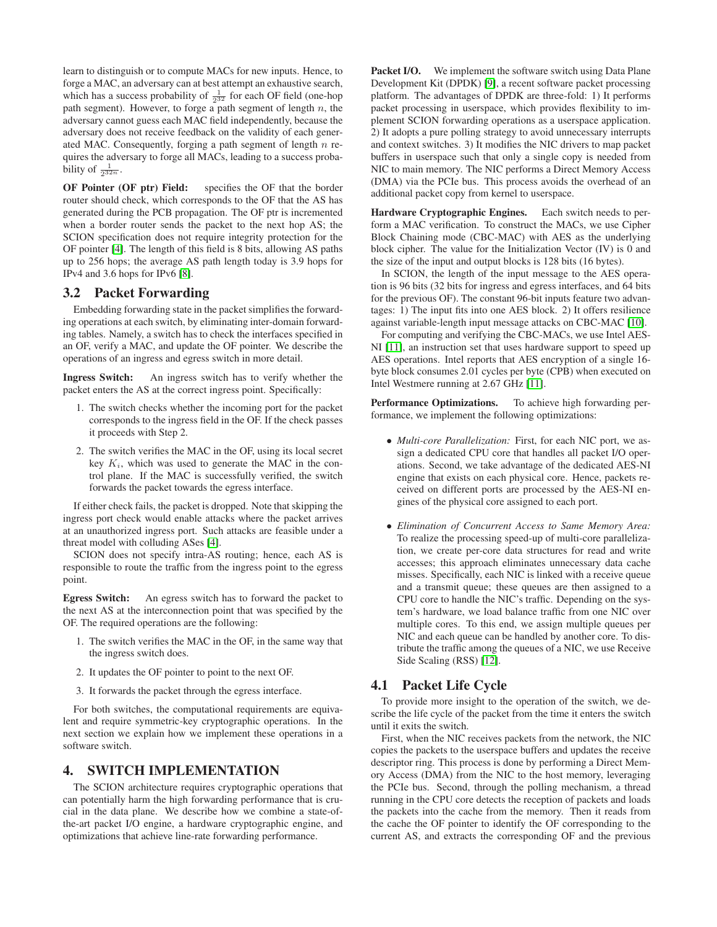learn to distinguish or to compute MACs for new inputs. Hence, to forge a MAC, an adversary can at best attempt an exhaustive search, which has a success probability of  $\frac{1}{2^{32}}$  for each OF field (one-hop path segment). However, to forge a path segment of length  $n$ , the adversary cannot guess each MAC field independently, because the adversary does not receive feedback on the validity of each generated MAC. Consequently, forging a path segment of length  $n$  requires the adversary to forge all MACs, leading to a success probability of  $\frac{1}{2^{32n}}$ .

OF Pointer (OF ptr) Field: specifies the OF that the border router should check, which corresponds to the OF that the AS has generated during the PCB propagation. The OF ptr is incremented when a border router sends the packet to the next hop AS; the SCION specification does not require integrity protection for the OF pointer [\[4\]](#page-4-3). The length of this field is 8 bits, allowing AS paths up to 256 hops; the average AS path length today is 3.9 hops for IPv4 and 3.6 hops for IPv6 [\[8\]](#page-4-7).

#### 3.2 Packet Forwarding

Embedding forwarding state in the packet simplifies the forwarding operations at each switch, by eliminating inter-domain forwarding tables. Namely, a switch has to check the interfaces specified in an OF, verify a MAC, and update the OF pointer. We describe the operations of an ingress and egress switch in more detail.

Ingress Switch: An ingress switch has to verify whether the packet enters the AS at the correct ingress point. Specifically:

- 1. The switch checks whether the incoming port for the packet corresponds to the ingress field in the OF. If the check passes it proceeds with Step 2.
- 2. The switch verifies the MAC in the OF, using its local secret key  $K_i$ , which was used to generate the MAC in the control plane. If the MAC is successfully verified, the switch forwards the packet towards the egress interface.

If either check fails, the packet is dropped. Note that skipping the ingress port check would enable attacks where the packet arrives at an unauthorized ingress port. Such attacks are feasible under a threat model with colluding ASes [\[4\]](#page-4-3).

SCION does not specify intra-AS routing; hence, each AS is responsible to route the traffic from the ingress point to the egress point.

Egress Switch: An egress switch has to forward the packet to the next AS at the interconnection point that was specified by the OF. The required operations are the following:

- 1. The switch verifies the MAC in the OF, in the same way that the ingress switch does.
- 2. It updates the OF pointer to point to the next OF.
- 3. It forwards the packet through the egress interface.

For both switches, the computational requirements are equivalent and require symmetric-key cryptographic operations. In the next section we explain how we implement these operations in a software switch.

## 4. SWITCH IMPLEMENTATION

The SCION architecture requires cryptographic operations that can potentially harm the high forwarding performance that is crucial in the data plane. We describe how we combine a state-ofthe-art packet I/O engine, a hardware cryptographic engine, and optimizations that achieve line-rate forwarding performance.

Packet I/O. We implement the software switch using Data Plane Development Kit (DPDK) [\[9\]](#page-4-8), a recent software packet processing platform. The advantages of DPDK are three-fold: 1) It performs packet processing in userspace, which provides flexibility to implement SCION forwarding operations as a userspace application. 2) It adopts a pure polling strategy to avoid unnecessary interrupts and context switches. 3) It modifies the NIC drivers to map packet buffers in userspace such that only a single copy is needed from NIC to main memory. The NIC performs a Direct Memory Access (DMA) via the PCIe bus. This process avoids the overhead of an additional packet copy from kernel to userspace.

Hardware Cryptographic Engines. Each switch needs to perform a MAC verification. To construct the MACs, we use Cipher Block Chaining mode (CBC-MAC) with AES as the underlying block cipher. The value for the Initialization Vector (IV) is 0 and the size of the input and output blocks is 128 bits (16 bytes).

In SCION, the length of the input message to the AES operation is 96 bits (32 bits for ingress and egress interfaces, and 64 bits for the previous OF). The constant 96-bit inputs feature two advantages: 1) The input fits into one AES block. 2) It offers resilience against variable-length input message attacks on CBC-MAC [\[10\]](#page-4-9).

For computing and verifying the CBC-MACs, we use Intel AES-NI [\[11\]](#page-4-10), an instruction set that uses hardware support to speed up AES operations. Intel reports that AES encryption of a single 16 byte block consumes 2.01 cycles per byte (CPB) when executed on Intel Westmere running at 2.67 GHz [\[11\]](#page-4-10).

Performance Optimizations. To achieve high forwarding performance, we implement the following optimizations:

- *Multi-core Parallelization:* First, for each NIC port, we assign a dedicated CPU core that handles all packet I/O operations. Second, we take advantage of the dedicated AES-NI engine that exists on each physical core. Hence, packets received on different ports are processed by the AES-NI engines of the physical core assigned to each port.
- *Elimination of Concurrent Access to Same Memory Area:* To realize the processing speed-up of multi-core parallelization, we create per-core data structures for read and write accesses; this approach eliminates unnecessary data cache misses. Specifically, each NIC is linked with a receive queue and a transmit queue; these queues are then assigned to a CPU core to handle the NIC's traffic. Depending on the system's hardware, we load balance traffic from one NIC over multiple cores. To this end, we assign multiple queues per NIC and each queue can be handled by another core. To distribute the traffic among the queues of a NIC, we use Receive Side Scaling (RSS) [\[12\]](#page-4-11).

## 4.1 Packet Life Cycle

To provide more insight to the operation of the switch, we describe the life cycle of the packet from the time it enters the switch until it exits the switch.

First, when the NIC receives packets from the network, the NIC copies the packets to the userspace buffers and updates the receive descriptor ring. This process is done by performing a Direct Memory Access (DMA) from the NIC to the host memory, leveraging the PCIe bus. Second, through the polling mechanism, a thread running in the CPU core detects the reception of packets and loads the packets into the cache from the memory. Then it reads from the cache the OF pointer to identify the OF corresponding to the current AS, and extracts the corresponding OF and the previous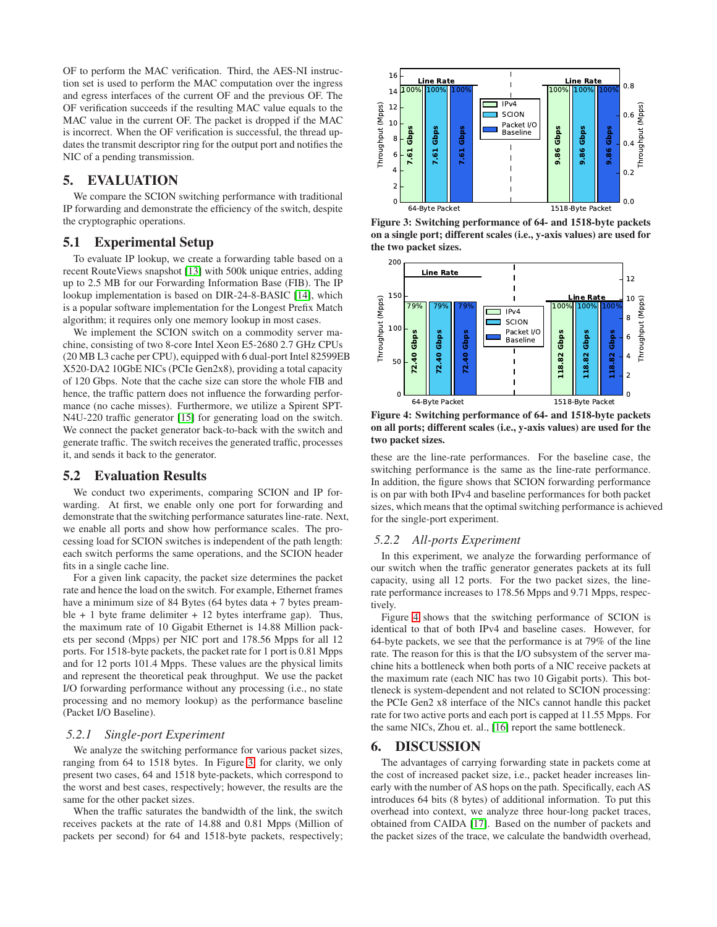OF to perform the MAC verification. Third, the AES-NI instruction set is used to perform the MAC computation over the ingress and egress interfaces of the current OF and the previous OF. The OF verification succeeds if the resulting MAC value equals to the MAC value in the current OF. The packet is dropped if the MAC is incorrect. When the OF verification is successful, the thread updates the transmit descriptor ring for the output port and notifies the NIC of a pending transmission.

#### 5. EVALUATION

We compare the SCION switching performance with traditional IP forwarding and demonstrate the efficiency of the switch, despite the cryptographic operations.

# 5.1 Experimental Setup

To evaluate IP lookup, we create a forwarding table based on a recent RouteViews snapshot [\[13\]](#page-4-12) with 500k unique entries, adding up to 2.5 MB for our Forwarding Information Base (FIB). The IP lookup implementation is based on DIR-24-8-BASIC [\[14\]](#page-4-13), which is a popular software implementation for the Longest Prefix Match algorithm; it requires only one memory lookup in most cases.

We implement the SCION switch on a commodity server machine, consisting of two 8-core Intel Xeon E5-2680 2.7 GHz CPUs (20 MB L3 cache per CPU), equipped with 6 dual-port Intel 82599EB X520-DA2 10GbE NICs (PCIe Gen2x8), providing a total capacity of 120 Gbps. Note that the cache size can store the whole FIB and hence, the traffic pattern does not influence the forwarding performance (no cache misses). Furthermore, we utilize a Spirent SPT-N4U-220 traffic generator [\[15\]](#page-4-14) for generating load on the switch. We connect the packet generator back-to-back with the switch and generate traffic. The switch receives the generated traffic, processes it, and sends it back to the generator.

#### 5.2 Evaluation Results

We conduct two experiments, comparing SCION and IP forwarding. At first, we enable only one port for forwarding and demonstrate that the switching performance saturates line-rate. Next, we enable all ports and show how performance scales. The processing load for SCION switches is independent of the path length: each switch performs the same operations, and the SCION header fits in a single cache line.

For a given link capacity, the packet size determines the packet rate and hence the load on the switch. For example, Ethernet frames have a minimum size of 84 Bytes  $(64 \text{ bytes data} + 7 \text{ bytes pream}$ ble  $+ 1$  byte frame delimiter  $+ 12$  bytes interframe gap). Thus, the maximum rate of 10 Gigabit Ethernet is 14.88 Million packets per second (Mpps) per NIC port and 178.56 Mpps for all 12 ports. For 1518-byte packets, the packet rate for 1 port is 0.81 Mpps and for 12 ports 101.4 Mpps. These values are the physical limits and represent the theoretical peak throughput. We use the packet I/O forwarding performance without any processing (i.e., no state processing and no memory lookup) as the performance baseline (Packet I/O Baseline).

#### *5.2.1 Single-port Experiment*

We analyze the switching performance for various packet sizes, ranging from 64 to 1518 bytes. In Figure [3,](#page-3-0) for clarity, we only present two cases, 64 and 1518 byte-packets, which correspond to the worst and best cases, respectively; however, the results are the same for the other packet sizes.

When the traffic saturates the bandwidth of the link, the switch receives packets at the rate of 14.88 and 0.81 Mpps (Million of packets per second) for 64 and 1518-byte packets, respectively;



<span id="page-3-0"></span>Figure 3: Switching performance of 64- and 1518-byte packets on a single port; different scales (i.e., y-axis values) are used for the two packet sizes.



<span id="page-3-1"></span>Figure 4: Switching performance of 64- and 1518-byte packets on all ports; different scales (i.e., y-axis values) are used for the two packet sizes.

these are the line-rate performances. For the baseline case, the switching performance is the same as the line-rate performance. In addition, the figure shows that SCION forwarding performance is on par with both IPv4 and baseline performances for both packet sizes, which means that the optimal switching performance is achieved for the single-port experiment.

#### *5.2.2 All-ports Experiment*

In this experiment, we analyze the forwarding performance of our switch when the traffic generator generates packets at its full capacity, using all 12 ports. For the two packet sizes, the linerate performance increases to 178.56 Mpps and 9.71 Mpps, respectively.

Figure [4](#page-3-1) shows that the switching performance of SCION is identical to that of both IPv4 and baseline cases. However, for 64-byte packets, we see that the performance is at 79% of the line rate. The reason for this is that the I/O subsystem of the server machine hits a bottleneck when both ports of a NIC receive packets at the maximum rate (each NIC has two 10 Gigabit ports). This bottleneck is system-dependent and not related to SCION processing: the PCIe Gen2 x8 interface of the NICs cannot handle this packet rate for two active ports and each port is capped at 11.55 Mpps. For the same NICs, Zhou et. al., [\[16\]](#page-4-15) report the same bottleneck.

#### 6. DISCUSSION

The advantages of carrying forwarding state in packets come at the cost of increased packet size, i.e., packet header increases linearly with the number of AS hops on the path. Specifically, each AS introduces 64 bits (8 bytes) of additional information. To put this overhead into context, we analyze three hour-long packet traces, obtained from CAIDA [\[17\]](#page-4-16). Based on the number of packets and the packet sizes of the trace, we calculate the bandwidth overhead,